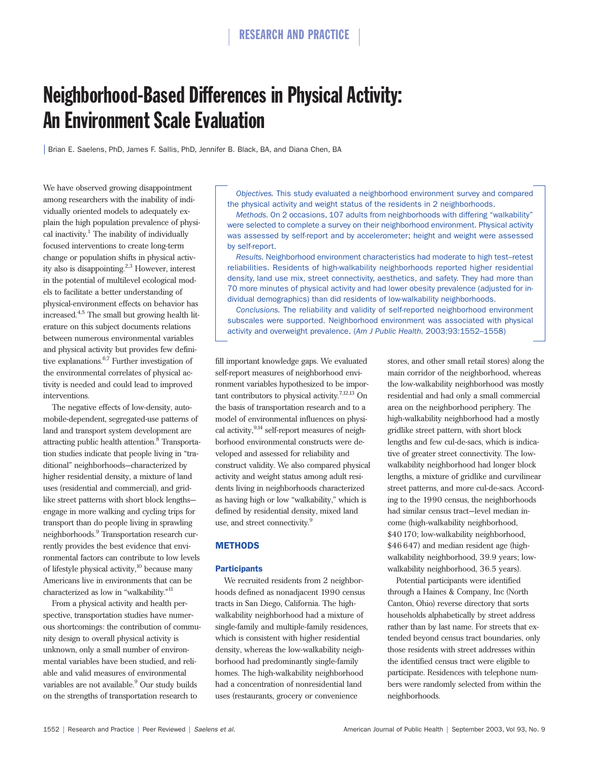# Neighborhood-Based Differences in Physical Activity: An Environment Scale Evaluation

| Brian E. Saelens, PhD, James F. Sallis, PhD, Jennifer B. Black, BA, and Diana Chen, BA

We have observed growing disappointment among researchers with the inability of individually oriented models to adequately explain the high population prevalence of physical inactivity. $1$  The inability of individually focused interventions to create long-term change or population shifts in physical activity also is disappointing.<sup>2,3</sup> However, interest in the potential of multilevel ecological models to facilitate a better understanding of physical-environment effects on behavior has increased.4,5 The small but growing health literature on this subject documents relations between numerous environmental variables and physical activity but provides few definitive explanations.<sup>6,7</sup> Further investigation of the environmental correlates of physical activity is needed and could lead to improved interventions.

The negative effects of low-density, automobile-dependent, segregated-use patterns of land and transport system development are attracting public health attention.<sup>8</sup> Transportation studies indicate that people living in "traditional" neighborhoods—characterized by higher residential density, a mixture of land uses (residential and commercial), and gridlike street patterns with short block lengths engage in more walking and cycling trips for transport than do people living in sprawling neighborhoods.<sup>9</sup> Transportation research currently provides the best evidence that environmental factors can contribute to low levels of lifestyle physical activity,<sup>10</sup> because many Americans live in environments that can be characterized as low in "walkability."<sup>11</sup>

From a physical activity and health perspective, transportation studies have numerous shortcomings: the contribution of community design to overall physical activity is unknown, only a small number of environmental variables have been studied, and reliable and valid measures of environmental variables are not available.<sup>9</sup> Our study builds on the strengths of transportation research to

*Objectives.* This study evaluated a neighborhood environment survey and compared the physical activity and weight status of the residents in 2 neighborhoods.

*Methods.* On 2 occasions, 107 adults from neighborhoods with differing "walkability" were selected to complete a survey on their neighborhood environment. Physical activity was assessed by self-report and by accelerometer; height and weight were assessed by self-report.

*Results.* Neighborhood environment characteristics had moderate to high test–retest reliabilities. Residents of high-walkability neighborhoods reported higher residential density, land use mix, street connectivity, aesthetics, and safety. They had more than 70 more minutes of physical activity and had lower obesity prevalence (adjusted for individual demographics) than did residents of low-walkability neighborhoods.

*Conclusions.* The reliability and validity of self-reported neighborhood environment subscales were supported. Neighborhood environment was associated with physical activity and overweight prevalence. (*Am J Public Health.* 2003;93:1552–1558)

fill important knowledge gaps. We evaluated self-report measures of neighborhood environment variables hypothesized to be important contributors to physical activity.<sup>7,12,13</sup> On the basis of transportation research and to a model of environmental influences on physical activity,  $9,14$  self-report measures of neighborhood environmental constructs were developed and assessed for reliability and construct validity. We also compared physical activity and weight status among adult residents living in neighborhoods characterized as having high or low "walkability," which is defined by residential density, mixed land use, and street connectivity.<sup>9</sup>

# **METHODS**

## **Participants**

We recruited residents from 2 neighborhoods defined as nonadjacent 1990 census tracts in San Diego, California. The highwalkability neighborhood had a mixture of single-family and multiple-family residences, which is consistent with higher residential density, whereas the low-walkability neighborhood had predominantly single-family homes. The high-walkability neighborhood had a concentration of nonresidential land uses (restaurants, grocery or convenience

stores, and other small retail stores) along the main corridor of the neighborhood, whereas the low-walkability neighborhood was mostly residential and had only a small commercial area on the neighborhood periphery. The high-walkability neighborhood had a mostly gridlike street pattern, with short block lengths and few cul-de-sacs, which is indicative of greater street connectivity. The lowwalkability neighborhood had longer block lengths, a mixture of gridlike and curvilinear street patterns, and more cul-de-sacs. According to the 1990 census, the neighborhoods had similar census tract—level median income (high-walkability neighborhood, \$40170; low-walkability neighborhood, \$46647) and median resident age (highwalkability neighborhood, 39.9 years; lowwalkability neighborhood, 36.5 years).

Potential participants were identified through a Haines & Company, Inc (North Canton, Ohio) reverse directory that sorts households alphabetically by street address rather than by last name. For streets that extended beyond census tract boundaries, only those residents with street addresses within the identified census tract were eligible to participate. Residences with telephone numbers were randomly selected from within the neighborhoods.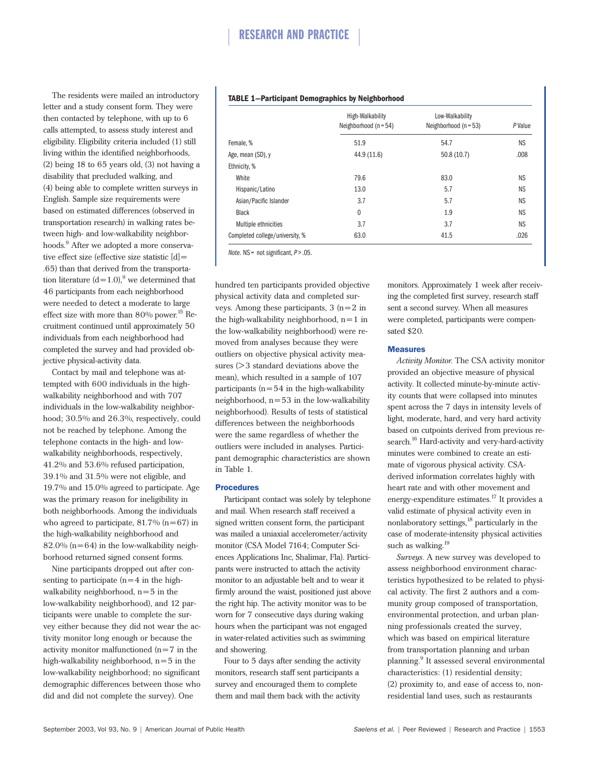The residents were mailed an introductory letter and a study consent form. They were then contacted by telephone, with up to 6 calls attempted, to assess study interest and eligibility. Eligibility criteria included (1) still living within the identified neighborhoods, (2) being 18 to 65 years old, (3) not having a disability that precluded walking, and (4) being able to complete written surveys in English. Sample size requirements were based on estimated differences (observed in transportation research) in walking rates between high- and low-walkability neighborhoods.<sup>9</sup> After we adopted a more conservative effect size (effective size statistic [d]= .65) than that derived from the transportation literature  $(d=1.0)$ ,<sup>9</sup> we determined that 46 participants from each neighborhood were needed to detect a moderate to large effect size with more than  $80\%$  power.<sup>15</sup> Recruitment continued until approximately 50 individuals from each neighborhood had completed the survey and had provided objective physical-activity data.

Contact by mail and telephone was attempted with 600 individuals in the highwalkability neighborhood and with 707 individuals in the low-walkability neighborhood; 30.5% and 26.3%, respectively, could not be reached by telephone. Among the telephone contacts in the high- and lowwalkability neighborhoods, respectively, 41.2% and 53.6% refused participation, 39.1% and 31.5% were not eligible, and 19.7% and 15.0% agreed to participate. Age was the primary reason for ineligibility in both neighborhoods. Among the individuals who agreed to participate,  $81.7\%$  (n=67) in the high-walkability neighborhood and 82.0% ( $n=64$ ) in the low-walkability neighborhood returned signed consent forms.

Nine participants dropped out after consenting to participate  $(n=4$  in the highwalkability neighborhood,  $n=5$  in the low-walkability neighborhood), and 12 participants were unable to complete the survey either because they did not wear the activity monitor long enough or because the activity monitor malfunctioned  $(n=7$  in the high-walkability neighborhood,  $n = 5$  in the low-walkability neighborhood; no significant demographic differences between those who did and did not complete the survey). One

# **TABLE 1—Participant Demographics by Neighborhood**

|                                 | High-Walkability<br>Neighborhood $(n = 54)$ | Low-Walkability<br>Neighborhood $(n = 53)$ | P Value   |
|---------------------------------|---------------------------------------------|--------------------------------------------|-----------|
| Female, %                       | 51.9                                        | 54.7                                       | <b>NS</b> |
| Age, mean (SD), y               | 44.9 (11.6)                                 | 50.8(10.7)                                 | .008      |
| Ethnicity, %                    |                                             |                                            |           |
| White                           | 79.6                                        | 83.0                                       | <b>NS</b> |
| Hispanic/Latino                 | 13.0                                        | 5.7                                        | <b>NS</b> |
| Asian/Pacific Islander          | 3.7                                         | 5.7                                        | <b>NS</b> |
| Black                           | $\mathbf{0}$                                | 1.9                                        | <b>NS</b> |
| Multiple ethnicities            | 3.7                                         | 3.7                                        | <b>NS</b> |
| Completed college/university, % | 63.0                                        | 41.5                                       | .026      |

*Note.* NS = not significant, *P* > .05.

hundred ten participants provided objective physical activity data and completed surveys. Among these participants,  $3(n=2$  in the high-walkability neighborhood,  $n = 1$  in the low-walkability neighborhood) were removed from analyses because they were outliers on objective physical activity measures  $($ >3 standard deviations above the mean), which resulted in a sample of 107 participants ( $n = 54$  in the high-walkability neighborhood,  $n = 53$  in the low-walkability neighborhood). Results of tests of statistical differences between the neighborhoods were the same regardless of whether the outliers were included in analyses. Participant demographic characteristics are shown in Table 1.

### **Procedures**

Participant contact was solely by telephone and mail. When research staff received a signed written consent form, the participant was mailed a uniaxial accelerometer/activity monitor (CSA Model 7164; Computer Sciences Applications Inc, Shalimar, Fla). Participants were instructed to attach the activity monitor to an adjustable belt and to wear it firmly around the waist, positioned just above the right hip. The activity monitor was to be worn for 7 consecutive days during waking hours when the participant was not engaged in water-related activities such as swimming and showering.

Four to 5 days after sending the activity monitors, research staff sent participants a survey and encouraged them to complete them and mail them back with the activity monitors. Approximately 1 week after receiving the completed first survey, research staff sent a second survey. When all measures were completed, participants were compensated \$20.

### Measures

*Activity Monitor.* The CSA activity monitor provided an objective measure of physical activity. It collected minute-by-minute activity counts that were collapsed into minutes spent across the 7 days in intensity levels of light, moderate, hard, and very hard activity based on cutpoints derived from previous research.<sup>16</sup> Hard-activity and very-hard-activity minutes were combined to create an estimate of vigorous physical activity. CSAderived information correlates highly with heart rate and with other movement and energy-expenditure estimates.<sup>17</sup> It provides a valid estimate of physical activity even in nonlaboratory settings,<sup>18</sup> particularly in the case of moderate-intensity physical activities such as walking.<sup>19</sup>

*Surveys.* A new survey was developed to assess neighborhood environment characteristics hypothesized to be related to physical activity. The first 2 authors and a community group composed of transportation, environmental protection, and urban planning professionals created the survey, which was based on empirical literature from transportation planning and urban planning.<sup>9</sup> It assessed several environmental characteristics: (1) residential density; (2) proximity to, and ease of access to, nonresidential land uses, such as restaurants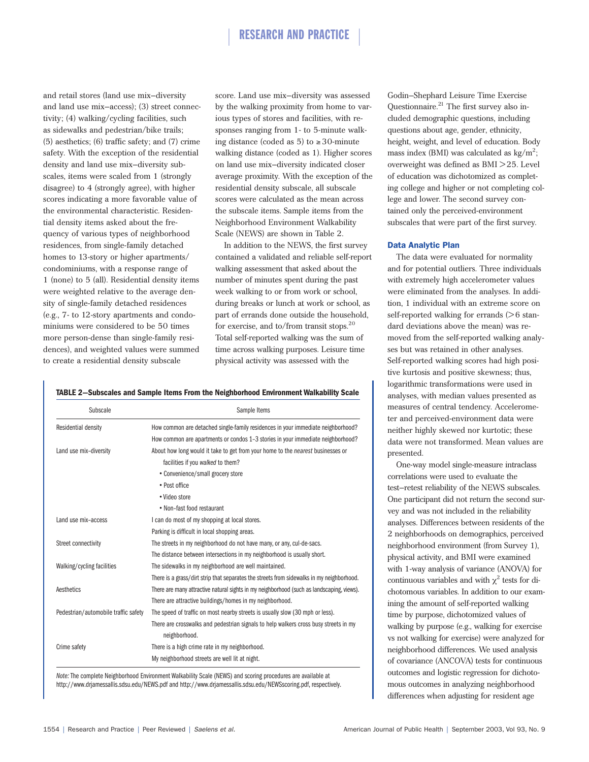# RESEARCH AND PRACTICE

and retail stores (land use mix–diversity and land use mix–access); (3) street connectivity; (4) walking/cycling facilities, such as sidewalks and pedestrian/bike trails; (5) aesthetics; (6) traffic safety; and (7) crime safety. With the exception of the residential density and land use mix–diversity subscales, items were scaled from 1 (strongly disagree) to 4 (strongly agree), with higher scores indicating a more favorable value of the environmental characteristic. Residential density items asked about the frequency of various types of neighborhood residences, from single-family detached homes to 13-story or higher apartments/ condominiums, with a response range of 1 (none) to 5 (all). Residential density items were weighted relative to the average density of single-family detached residences (e.g., 7- to 12-story apartments and condominiums were considered to be 50 times more person-dense than single-family residences), and weighted values were summed to create a residential density subscale

score. Land use mix–diversity was assessed by the walking proximity from home to various types of stores and facilities, with responses ranging from 1- to 5-minute walking distance (coded as 5) to ≥ 30-minute walking distance (coded as 1). Higher scores on land use mix–diversity indicated closer average proximity. With the exception of the residential density subscale, all subscale scores were calculated as the mean across the subscale items. Sample items from the Neighborhood Environment Walkability Scale (NEWS) are shown in Table 2.

In addition to the NEWS, the first survey contained a validated and reliable self-report walking assessment that asked about the number of minutes spent during the past week walking to or from work or school, during breaks or lunch at work or school, as part of errands done outside the household, for exercise, and to/from transit stops.<sup>20</sup> Total self-reported walking was the sum of time across walking purposes. Leisure time physical activity was assessed with the

| TABLE 2-Subscales and Sample Items From the Neighborhood Environment Walkability Scale |  |
|----------------------------------------------------------------------------------------|--|
|----------------------------------------------------------------------------------------|--|

| Subscale                             | Sample Items                                                                              |  |  |
|--------------------------------------|-------------------------------------------------------------------------------------------|--|--|
| <b>Residential density</b>           | How common are detached single-family residences in your immediate neighborhood?          |  |  |
|                                      | How common are apartments or condos 1-3 stories in your immediate neighborhood?           |  |  |
| Land use mix-diversity               | About how long would it take to get from your home to the <i>nearest</i> businesses or    |  |  |
|                                      | facilities if you walked to them?                                                         |  |  |
|                                      | • Convenience/small grocery store                                                         |  |  |
|                                      | • Post office                                                                             |  |  |
|                                      | • Video store                                                                             |  |  |
|                                      | • Non-fast food restaurant                                                                |  |  |
| Land use mix-access                  | I can do most of my shopping at local stores.                                             |  |  |
|                                      | Parking is difficult in local shopping areas.                                             |  |  |
| Street connectivity                  | The streets in my neighborhood do not have many, or any, cul-de-sacs.                     |  |  |
|                                      | The distance between intersections in my neighborhood is usually short.                   |  |  |
| Walking/cycling facilities           | The sidewalks in my neighborhood are well maintained.                                     |  |  |
|                                      | There is a grass/dirt strip that separates the streets from sidewalks in my neighborhood. |  |  |
| Aesthetics                           | There are many attractive natural sights in my neighborhood (such as landscaping, views). |  |  |
|                                      | There are attractive buildings/homes in my neighborhood.                                  |  |  |
| Pedestrian/automobile traffic safety | The speed of traffic on most nearby streets is usually slow (30 mph or less).             |  |  |
|                                      | There are crosswalks and pedestrian signals to help walkers cross busy streets in my      |  |  |
|                                      | neighborhood.                                                                             |  |  |
| Crime safety                         | There is a high crime rate in my neighborhood.                                            |  |  |
|                                      | My neighborhood streets are well lit at night.                                            |  |  |

*Note:* The complete Neighborhood Environment Walkability Scale (NEWS) and scoring procedures are available at http://www.drjamessallis.sdsu.edu/NEWS.pdf and http://www.drjamessallis.sdsu.edu/NEWSscoring.pdf, respectively. Godin–Shephard Leisure Time Exercise Questionnaire.<sup>21</sup> The first survey also included demographic questions, including questions about age, gender, ethnicity, height, weight, and level of education. Body mass index (BMI) was calculated as  $\text{kg/m}^2$ ; overweight was defined as BMI >25. Level of education was dichotomized as completing college and higher or not completing college and lower. The second survey contained only the perceived-environment subscales that were part of the first survey.

#### Data Analytic Plan

The data were evaluated for normality and for potential outliers. Three individuals with extremely high accelerometer values were eliminated from the analyses. In addition, 1 individual with an extreme score on self-reported walking for errands  $($ >6 standard deviations above the mean) was removed from the self-reported walking analyses but was retained in other analyses. Self-reported walking scores had high positive kurtosis and positive skewness; thus, logarithmic transformations were used in analyses, with median values presented as measures of central tendency. Accelerometer and perceived-environment data were neither highly skewed nor kurtotic; these data were not transformed. Mean values are presented.

One-way model single-measure intraclass correlations were used to evaluate the test–retest reliability of the NEWS subscales. One participant did not return the second survey and was not included in the reliability analyses. Differences between residents of the 2 neighborhoods on demographics, perceived neighborhood environment (from Survey 1), physical activity, and BMI were examined with 1-way analysis of variance (ANOVA) for continuous variables and with  $\chi^2$  tests for dichotomous variables. In addition to our examining the amount of self-reported walking time by purpose, dichotomized values of walking by purpose (e.g., walking for exercise vs not walking for exercise) were analyzed for neighborhood differences. We used analysis of covariance (ANCOVA) tests for continuous outcomes and logistic regression for dichotomous outcomes in analyzing neighborhood differences when adjusting for resident age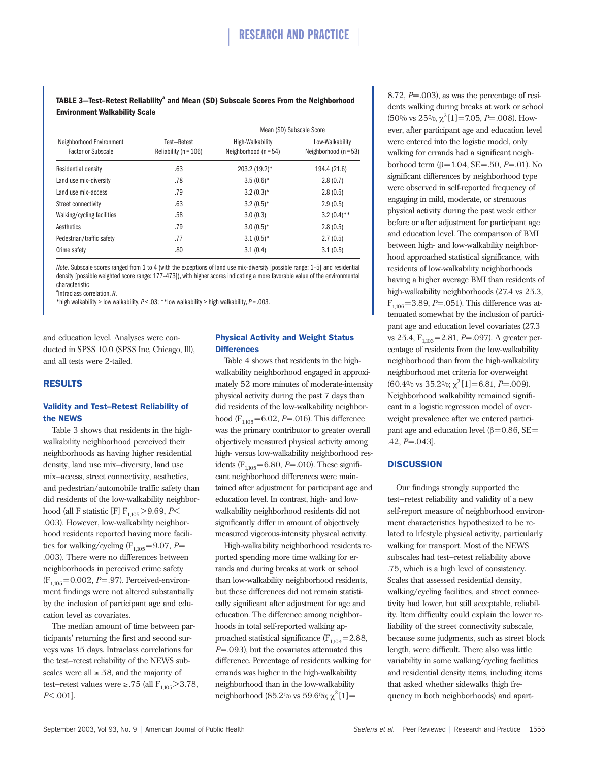# TABLE 3-Test-Retest Reliability<sup>a</sup> and Mean (SD) Subscale Scores From the Neighborhood **Environment Walkability Scale**

| Neighborhood Environment<br>Factor or Subscale |                                          | Mean (SD) Subscale Score                    |                                            |  |
|------------------------------------------------|------------------------------------------|---------------------------------------------|--------------------------------------------|--|
|                                                | Test-Retest<br>Reliability ( $n = 106$ ) | High-Walkability<br>Neighborhood $(n = 54)$ | Low-Walkability<br>Neighborhood $(n = 53)$ |  |
| Residential density                            | .63                                      | 203.2 (19.2)*                               | 194.4 (21.6)                               |  |
| Land use mix-diversity                         | .78                                      | $3.5(0.6)^*$                                | 2.8(0.7)                                   |  |
| Land use mix-access                            | .79                                      | $3.2(0.3)*$                                 | 2.8(0.5)                                   |  |
| Street connectivity                            | .63                                      | $3.2(0.5)*$                                 | 2.9(0.5)                                   |  |
| Walking/cycling facilities                     | .58                                      | 3.0(0.3)                                    | $3.2(0.4)$ **                              |  |
| Aesthetics                                     | .79                                      | $3.0(0.5)*$                                 | 2.8(0.5)                                   |  |
| Pedestrian/traffic safety                      | .77                                      | $3.1(0.5)*$                                 | 2.7(0.5)                                   |  |
| Crime safety                                   | .80                                      | 3.1(0.4)                                    | 3.1(0.5)                                   |  |

*Note.* Subscale scores ranged from 1 to 4 (with the exceptions of land use mix–diversity [possible range: 1–5] and residential density [possible weighted score range: 177–473]), with higher scores indicating a more favorable value of the environmental characteristic

a Intraclass correlation, *R*.

\*high walkability > low walkability, *P* < .03; \*\*low walkability > high walkability, *P* = .003.

and education level. Analyses were conducted in SPSS 10.0 (SPSS Inc, Chicago, Ill), and all tests were 2-tailed.

# RESULTS

# Validity and Test–Retest Reliability of the NEWS

Table 3 shows that residents in the highwalkability neighborhood perceived their neighborhoods as having higher residential density, land use mix–diversity, land use mix–access, street connectivity, aesthetics, and pedestrian/automobile traffic safety than did residents of the low-walkability neighborhood (all F statistic [F]  $F_{1,105}$  > 9.69, *P* < .003). However, low-walkability neighborhood residents reported having more facilities for walking/cycling  $(F_{1,105}=9.07, P=$ .003). There were no differences between neighborhoods in perceived crime safety (F1,105=0.002, *P*=.97). Perceived-environment findings were not altered substantially by the inclusion of participant age and education level as covariates.

The median amount of time between participants' returning the first and second surveys was 15 days. Intraclass correlations for the test–retest reliability of the NEWS subscales were all ≥.58, and the majority of test–retest values were  $\geq$ .75 (all  $F_{1,105}$ >3.78, *P*<.001].

# Physical Activity and Weight Status **Differences**

Table 4 shows that residents in the highwalkability neighborhood engaged in approximately 52 more minutes of moderate-intensity physical activity during the past 7 days than did residents of the low-walkability neighborhood ( $F_{1,105}$ =6.02, *P*=.016). This difference was the primary contributor to greater overall objectively measured physical activity among high- versus low-walkability neighborhood residents ( $F_{1,105}$ =6.80, *P*=.010). These significant neighborhood differences were maintained after adjustment for participant age and education level. In contrast, high- and lowwalkability neighborhood residents did not significantly differ in amount of objectively measured vigorous-intensity physical activity.

High-walkability neighborhood residents reported spending more time walking for errands and during breaks at work or school than low-walkability neighborhood residents, but these differences did not remain statistically significant after adjustment for age and education. The difference among neighborhoods in total self-reported walking approached statistical significance  $(F_{1,104}=2.88,$ *P*=.093), but the covariates attenuated this difference. Percentage of residents walking for errands was higher in the high-walkability neighborhood than in the low-walkability neighborhood (85.2% vs 59.6%;  $\chi^2[1]$  =

8.72, *P*=.003), as was the percentage of residents walking during breaks at work or school (50% vs  $25\%$ ,  $\chi^2[1] = 7.05$ , *P*=.008). However, after participant age and education level were entered into the logistic model, only walking for errands had a significant neighborhood term (β=1.04, SE=.50, *P*=.01). No significant differences by neighborhood type were observed in self-reported frequency of engaging in mild, moderate, or strenuous physical activity during the past week either before or after adjustment for participant age and education level. The comparison of BMI between high- and low-walkability neighborhood approached statistical significance, with residents of low-walkability neighborhoods having a higher average BMI than residents of high-walkability neighborhoods (27.4 vs 25.3,  $F_{1,106}$ =3.89, *P*=.051). This difference was attenuated somewhat by the inclusion of participant age and education level covariates (27.3 vs 25.4,  $F_{1,103}$ =2.81, *P*=.097). A greater percentage of residents from the low-walkability neighborhood than from the high-walkability neighborhood met criteria for overweight  $(60.4\% \text{ vs } 35.2\%; \chi^2[1]\text{ = }6.81, P\text{ =}.009).$ Neighborhood walkability remained significant in a logistic regression model of overweight prevalence after we entered participant age and education level ( $β=0.86$ , SE= .42, *P*=.043].

### **DISCUSSION**

Our findings strongly supported the test–retest reliability and validity of a new self-report measure of neighborhood environment characteristics hypothesized to be related to lifestyle physical activity, particularly walking for transport. Most of the NEWS subscales had test–retest reliability above .75, which is a high level of consistency. Scales that assessed residential density, walking/cycling facilities, and street connectivity had lower, but still acceptable, reliability. Item difficulty could explain the lower reliability of the street connectivity subscale, because some judgments, such as street block length, were difficult. There also was little variability in some walking/cycling facilities and residential density items, including items that asked whether sidewalks (high frequency in both neighborhoods) and apart-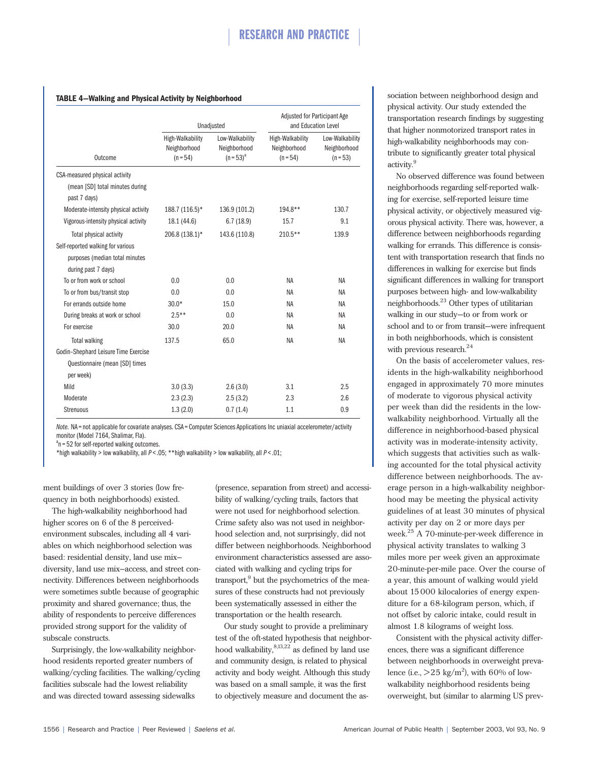#### **TABLE 4—Walking and Physical Activity by Neighborhood**

|                                                                                            | Unadjusted                                     |                                                   | Adjusted for Participant Age<br>and Education Level |                                               |
|--------------------------------------------------------------------------------------------|------------------------------------------------|---------------------------------------------------|-----------------------------------------------------|-----------------------------------------------|
| Outcome                                                                                    | High-Walkability<br>Neighborhood<br>$(n = 54)$ | Low-Walkability<br>Neighborhood<br>$(n = 53)^{a}$ | High-Walkability<br>Neighborhood<br>$(n = 54)$      | Low-Walkability<br>Neighborhood<br>$(n = 53)$ |
| CSA-measured physical activity                                                             |                                                |                                                   |                                                     |                                               |
| (mean [SD] total minutes during<br>past 7 days)                                            |                                                |                                                   |                                                     |                                               |
| Moderate-intensity physical activity                                                       | 188.7 (116.5)*                                 | 136.9 (101.2)                                     | $194.8**$                                           | 130.7                                         |
| Vigorous-intensity physical activity                                                       | 18.1 (44.6)                                    | 6.7(18.9)                                         | 15.7                                                | 9.1                                           |
| Total physical activity                                                                    | 206.8 (138.1)*                                 | 143.6 (110.8)                                     | $210.5**$                                           | 139.9                                         |
| Self-reported walking for various<br>purposes (median total minutes<br>during past 7 days) |                                                |                                                   |                                                     |                                               |
| To or from work or school                                                                  | 0.0                                            | 0.0                                               | <b>NA</b>                                           | <b>NA</b>                                     |
| To or from bus/transit stop                                                                | 0.0                                            | 0.0                                               | <b>NA</b>                                           | <b>NA</b>                                     |
| For errands outside home                                                                   | $30.0*$                                        | 15.0                                              | <b>NA</b>                                           | <b>NA</b>                                     |
| During breaks at work or school                                                            | $2.5**$                                        | 0.0                                               | NA                                                  | <b>NA</b>                                     |
| For exercise                                                                               | 30.0                                           | 20.0                                              | <b>NA</b>                                           | NA                                            |
| <b>Total walking</b>                                                                       | 137.5                                          | 65.0                                              | NA                                                  | NA                                            |
| Godin-Shephard Leisure Time Exercise                                                       |                                                |                                                   |                                                     |                                               |
| Questionnaire (mean [SD] times<br>per week)                                                |                                                |                                                   |                                                     |                                               |
| Mild                                                                                       | 3.0(3.3)                                       | 2.6(3.0)                                          | 3.1                                                 | 2.5                                           |
| Moderate                                                                                   | 2.3(2.3)                                       | 2.5(3.2)                                          | 2.3                                                 | 2.6                                           |
| <b>Strenuous</b>                                                                           | 1.3(2.0)                                       | 0.7(1.4)                                          | 1.1                                                 | 0.9                                           |

*Note.* NA = not applicable for covariate analyses. CSA = Computer Sciences Applications Inc uniaxial accelerometer/activity monitor (Model 7164, Shalimar, Fla).

 $a_n = 52$  for self-reported walking outcomes.

\*high walkability > low walkability, all *P* < .05; \*\*high walkability > low walkability, all *P* < .01;

ment buildings of over 3 stories (low frequency in both neighborhoods) existed.

The high-walkability neighborhood had higher scores on 6 of the 8 perceivedenvironment subscales, including all 4 variables on which neighborhood selection was based: residential density, land use mix– diversity, land use mix–access, and street connectivity. Differences between neighborhoods were sometimes subtle because of geographic proximity and shared governance; thus, the ability of respondents to perceive differences provided strong support for the validity of subscale constructs.

Surprisingly, the low-walkability neighborhood residents reported greater numbers of walking/cycling facilities. The walking/cycling facilities subscale had the lowest reliability and was directed toward assessing sidewalks

(presence, separation from street) and accessibility of walking/cycling trails, factors that were not used for neighborhood selection. Crime safety also was not used in neighborhood selection and, not surprisingly, did not differ between neighborhoods. Neighborhood environment characteristics assessed are associated with walking and cycling trips for transport,<sup>9</sup> but the psychometrics of the measures of these constructs had not previously been systematically assessed in either the transportation or the health research.

Our study sought to provide a preliminary test of the oft-stated hypothesis that neighborhood walkability, $8,13,22$  as defined by land use and community design, is related to physical activity and body weight. Although this study was based on a small sample, it was the first to objectively measure and document the association between neighborhood design and physical activity. Our study extended the transportation research findings by suggesting that higher nonmotorized transport rates in high-walkability neighborhoods may contribute to significantly greater total physical activity.<sup>9</sup>

No observed difference was found between neighborhoods regarding self-reported walking for exercise, self-reported leisure time physical activity, or objectively measured vigorous physical activity. There was, however, a difference between neighborhoods regarding walking for errands. This difference is consistent with transportation research that finds no differences in walking for exercise but finds significant differences in walking for transport purposes between high- and low-walkability neighborhoods.<sup>23</sup> Other types of utilitarian walking in our study—to or from work or school and to or from transit—were infrequent in both neighborhoods, which is consistent with previous research.<sup>24</sup>

On the basis of accelerometer values, residents in the high-walkability neighborhood engaged in approximately 70 more minutes of moderate to vigorous physical activity per week than did the residents in the lowwalkability neighborhood. Virtually all the difference in neighborhood-based physical activity was in moderate-intensity activity, which suggests that activities such as walking accounted for the total physical activity difference between neighborhoods. The average person in a high-walkability neighborhood may be meeting the physical activity guidelines of at least 30 minutes of physical activity per day on 2 or more days per week.<sup>25</sup> A 70-minute-per-week difference in physical activity translates to walking 3 miles more per week given an approximate 20-minute-per-mile pace. Over the course of a year, this amount of walking would yield about 15 000 kilocalories of energy expenditure for a 68-kilogram person, which, if not offset by caloric intake, could result in almost 1.8 kilograms of weight loss.

Consistent with the physical activity differences, there was a significant difference between neighborhoods in overweight prevalence (i.e.,  $>$  25 kg/m<sup>2</sup>), with 60% of lowwalkability neighborhood residents being overweight, but (similar to alarming US prev-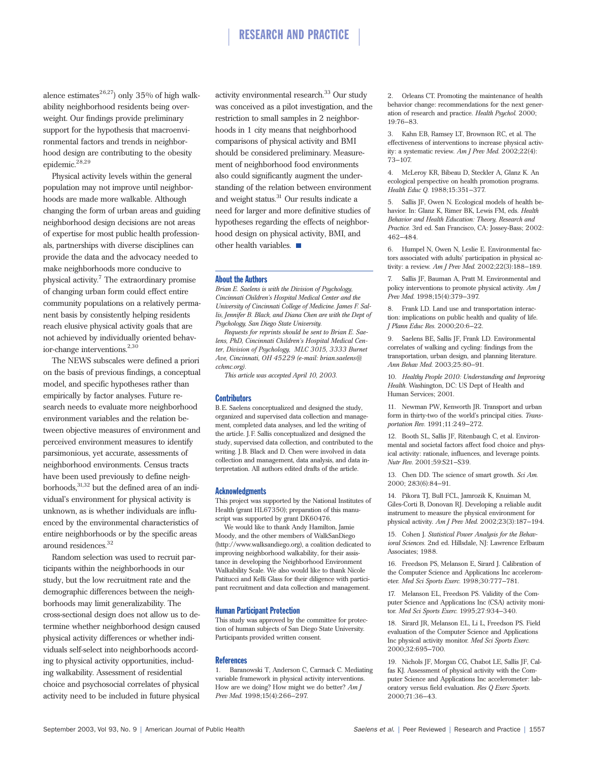# RESEARCH AND PRACTICE

alence estimates<sup>26,27</sup>) only 35% of high walkability neighborhood residents being overweight. Our findings provide preliminary support for the hypothesis that macroenvironmental factors and trends in neighborhood design are contributing to the obesity epidemic.<sup>28,29</sup>

Physical activity levels within the general population may not improve until neighborhoods are made more walkable. Although changing the form of urban areas and guiding neighborhood design decisions are not areas of expertise for most public health professionals, partnerships with diverse disciplines can provide the data and the advocacy needed to make neighborhoods more conducive to physical activity.<sup>7</sup> The extraordinary promise of changing urban form could effect entire community populations on a relatively permanent basis by consistently helping residents reach elusive physical activity goals that are not achieved by individually oriented behavior-change interventions.<sup>2,30</sup>

The NEWS subscales were defined a priori on the basis of previous findings, a conceptual model, and specific hypotheses rather than empirically by factor analyses. Future research needs to evaluate more neighborhood environment variables and the relation between objective measures of environment and perceived environment measures to identify parsimonious, yet accurate, assessments of neighborhood environments. Census tracts have been used previously to define neighborhoods,  $31,32$  but the defined area of an individual's environment for physical activity is unknown, as is whether individuals are influenced by the environmental characteristics of entire neighborhoods or by the specific areas around residences.<sup>32</sup>

Random selection was used to recruit participants within the neighborhoods in our study, but the low recruitment rate and the demographic differences between the neighborhoods may limit generalizability. The cross-sectional design does not allow us to determine whether neighborhood design caused physical activity differences or whether individuals self-select into neighborhoods according to physical activity opportunities, including walkability. Assessment of residential choice and psychosocial correlates of physical activity need to be included in future physical

activity environmental research.<sup>33</sup> Our study was conceived as a pilot investigation, and the restriction to small samples in 2 neighborhoods in 1 city means that neighborhood comparisons of physical activity and BMI should be considered preliminary. Measurement of neighborhood food environments also could significantly augment the understanding of the relation between environment and weight status.<sup>31</sup> Our results indicate a need for larger and more definitive studies of hypotheses regarding the effects of neighborhood design on physical activity, BMI, and other health variables.  $\blacksquare$ 

## About the Authors

*Brian E. Saelens is with the Division of Psychology, Cincinnati Children's Hospital Medical Center and the University of Cincinnati College of Medicine. James F. Sallis, Jennifer B. Black, and Diana Chen are with the Dept of Psychology, San Diego State University.*

*Requests for reprints should be sent to Brian E. Saelens, PhD, Cincinnati Children's Hospital Medical Center, Division of Psychology, MLC 3015, 3333 Burnet Ave, Cincinnati, OH 45229 (e-mail: brian.saelens@ cchmc.org).*

*This article was accepted April 10, 2003.*

#### **Contributors**

B.E. Saelens conceptualized and designed the study, organized and supervised data collection and management, completed data analyses, and led the writing of the article. J.F. Sallis conceptualized and designed the study, supervised data collection, and contributed to the writing. J.B. Black and D. Chen were involved in data collection and management, data analysis, and data interpretation. All authors edited drafts of the article.

#### **Acknowledgments**

This project was supported by the National Institutes of Health (grant HL67350); preparation of this manuscript was supported by grant DK60476.

We would like to thank Andy Hamilton, Jamie Moody, and the other members of WalkSanDiego (http://www.walksandiego.org), a coalition dedicated to improving neighborhood walkability, for their assistance in developing the Neighborhood Environment Walkability Scale. We also would like to thank Nicole Patitucci and Kelli Glass for their diligence with participant recruitment and data collection and management.

#### Human Participant Protection

This study was approved by the committee for protection of human subjects of San Diego State University. Participants provided written consent.

## **References**

1. Baranowski T, Anderson C, Carmack C. Mediating variable framework in physical activity interventions. How are we doing? How might we do better? *Am J Prev Med.* 1998;15(4):266–297.

2. Orleans CT. Promoting the maintenance of health behavior change: recommendations for the next generation of research and practice. *Health Psychol.* 2000; 19:76–83.

3. Kahn EB, Ramsey LT, Brownson RC, et al. The effectiveness of interventions to increase physical activity: a systematic review. *Am J Prev Med.* 2002;22(4): 73–107.

4. McLeroy KR, Bibeau D, Steckler A, Glanz K. An ecological perspective on health promotion programs. *Health Educ Q.* 1988;15:351–377.

5. Sallis JF, Owen N. Ecological models of health behavior. In: Glanz K, Rimer BK, Lewis FM, eds. *Health Behavior and Health Education: Theory, Research and Practice.* 3rd ed. San Francisco, CA: Jossey-Bass; 2002: 462–484.

6. Humpel N, Owen N, Leslie E. Environmental factors associated with adults' participation in physical activity: a review. *Am J Prev Med.* 2002;22(3):188–189.

Sallis JF, Bauman A, Pratt M. Environmental and policy interventions to promote physical activity. *Am J Prev Med.* 1998;15(4):379–397.

8. Frank LD. Land use and transportation interaction: implications on public health and quality of life. *J Plann Educ Res.* 2000;20:6–22.

9. Saelens BE, Sallis JF, Frank LD. Environmental correlates of walking and cycling: findings from the transportation, urban design, and planning literature. *Ann Behav Med.* 2003;25:80–91.

10. *Healthy People 2010: Understanding and Improving Health.* Washington, DC: US Dept of Health and Human Services; 2001.

11. Newman PW, Kenworth JR. Transport and urban form in thirty-two of the world's principal cities. *Transportation Rev.* 1991;11:249–272.

12. Booth SL, Sallis JF, Ritenbaugh C, et al. Environmental and societal factors affect food choice and physical activity: rationale, influences, and leverage points. *Nutr Rev.* 2001;59:S21–S39.

13. Chen DD. The science of smart growth. *Sci Am.* 2000; 283(6):84–91.

14. Pikora TJ, Bull FCL, Jamrozik K, Knuiman M, Giles-Corti B, Donovan RJ. Developing a reliable audit instrument to measure the physical environment for physical activity. *Am J Prev Med*. 2002;23(3):187–194.

15. Cohen J. *Statistical Power Analysis for the Behavioral Sciences.* 2nd ed. Hillsdale, NJ: Lawrence Erlbaum Associates; 1988.

16. Freedson PS, Melanson E, Sirard J. Calibration of the Computer Science and Applications Inc accelerometer. *Med Sci Sports Exerc.* 1998;30:777–781.

17. Melanson EL, Freedson PS. Validity of the Computer Science and Applications Inc (CSA) activity monitor. *Med Sci Sports Exerc.* 1995;27:934–340.

18. Sirard JR, Melanson EL, Li L, Freedson PS. Field evaluation of the Computer Science and Applications Inc physical activity monitor. *Med Sci Sports Exerc.* 2000;32:695–700.

19. Nichols JF, Morgan CG, Chabot LE, Sallis JF, Calfas KJ. Assessment of physical activity with the Computer Science and Applications Inc accelerometer: laboratory versus field evaluation. *Res Q Exerc Sports.* 2000;71:36–43.